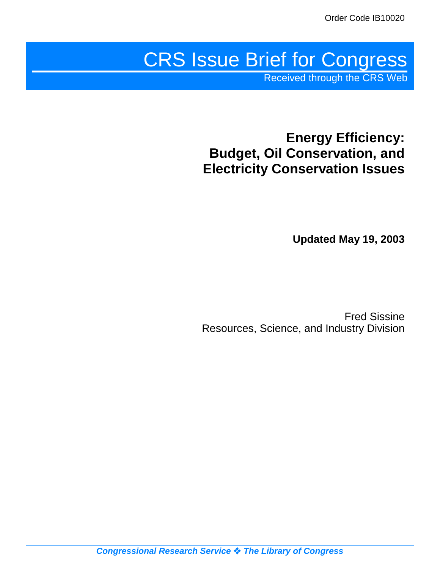# CRS Issue Brief for Congress

Received through the CRS Web

# **Energy Efficiency: Budget, Oil Conservation, and Electricity Conservation Issues**

**Updated May 19, 2003**

Fred Sissine Resources, Science, and Industry Division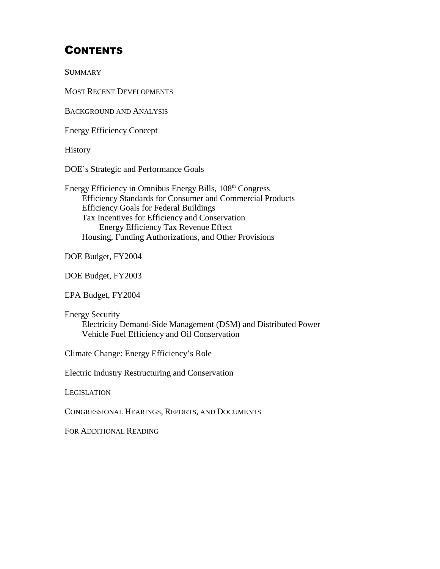# **CONTENTS**

**SUMMARY** 

MOST RECENT DEVELOPMENTS

BACKGROUND AND ANALYSIS

Energy Efficiency Concept

**History** 

DOE's Strategic and Performance Goals

Energy Efficiency in Omnibus Energy Bills, 108th Congress Efficiency Standards for Consumer and Commercial Products Efficiency Goals for Federal Buildings Tax Incentives for Efficiency and Conservation Energy Efficiency Tax Revenue Effect Housing, Funding Authorizations, and Other Provisions

DOE Budget, FY2004

DOE Budget, FY2003

EPA Budget, FY2004

Energy Security Electricity Demand-Side Management (DSM) and Distributed Power Vehicle Fuel Efficiency and Oil Conservation

Climate Change: Energy Efficiency's Role

Electric Industry Restructuring and Conservation

**LEGISLATION** 

CONGRESSIONAL HEARINGS, REPORTS, AND DOCUMENTS

FOR ADDITIONAL READING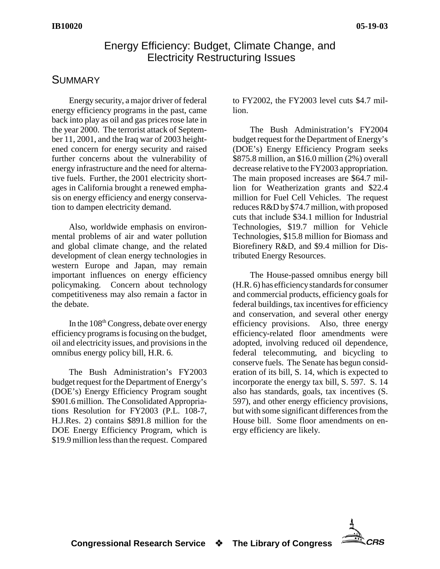#### Energy Efficiency: Budget, Climate Change, and Electricity Restructuring Issues

#### **SUMMARY**

Energy security, a major driver of federal energy efficiency programs in the past, came back into play as oil and gas prices rose late in the year 2000. The terrorist attack of September 11, 2001, and the Iraq war of 2003 heightened concern for energy security and raised further concerns about the vulnerability of energy infrastructure and the need for alternative fuels. Further, the 2001 electricity shortages in California brought a renewed emphasis on energy efficiency and energy conservation to dampen electricity demand.

Also, worldwide emphasis on environmental problems of air and water pollution and global climate change, and the related development of clean energy technologies in western Europe and Japan, may remain important influences on energy efficiency policymaking. Concern about technology competitiveness may also remain a factor in the debate.

In the  $108<sup>th</sup> Congress$ , debate over energy efficiency programs is focusing on the budget, oil and electricity issues, and provisions in the omnibus energy policy bill, H.R. 6.

The Bush Administration's FY2003 budget request for the Department of Energy's (DOE's) Energy Efficiency Program sought \$901.6 million. The Consolidated Appropriations Resolution for FY2003 (P.L. 108-7, H.J.Res. 2) contains \$891.8 million for the DOE Energy Efficiency Program, which is \$19.9 million less than the request. Compared

to FY2002, the FY2003 level cuts \$4.7 million.

The Bush Administration's FY2004 budget request for the Department of Energy's (DOE's) Energy Efficiency Program seeks \$875.8 million, an \$16.0 million (2%) overall decrease relative to the FY2003 appropriation. The main proposed increases are \$64.7 million for Weatherization grants and \$22.4 million for Fuel Cell Vehicles. The request reduces R&D by \$74.7 million, with proposed cuts that include \$34.1 million for Industrial Technologies, \$19.7 million for Vehicle Technologies, \$15.8 million for Biomass and Biorefinery R&D, and \$9.4 million for Distributed Energy Resources.

The House-passed omnibus energy bill (H.R. 6) has efficiency standards for consumer and commercial products, efficiency goals for federal buildings, tax incentives for efficiency and conservation, and several other energy efficiency provisions. Also, three energy efficiency-related floor amendments were adopted, involving reduced oil dependence, federal telecommuting, and bicycling to conserve fuels. The Senate has begun consideration of its bill, S. 14, which is expected to incorporate the energy tax bill, S. 597. S. 14 also has standards, goals, tax incentives (S. 597), and other energy efficiency provisions, but with some significant differences from the House bill. Some floor amendments on energy efficiency are likely.

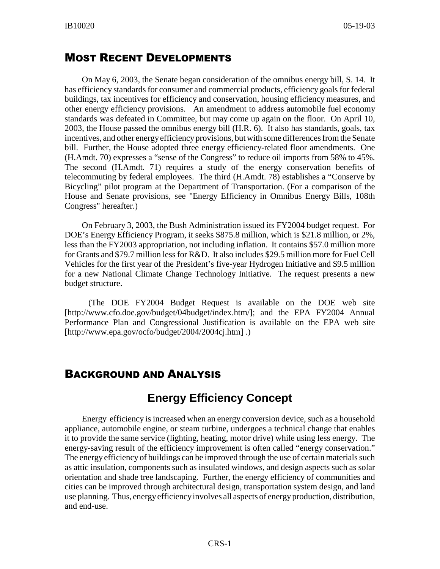#### MOST RECENT DEVELOPMENTS

On May 6, 2003, the Senate began consideration of the omnibus energy bill, S. 14. It has efficiency standards for consumer and commercial products, efficiency goals for federal buildings, tax incentives for efficiency and conservation, housing efficiency measures, and other energy efficiency provisions. An amendment to address automobile fuel economy standards was defeated in Committee, but may come up again on the floor. On April 10, 2003, the House passed the omnibus energy bill (H.R. 6). It also has standards, goals, tax incentives, and other energy efficiency provisions, but with some differences from the Senate bill. Further, the House adopted three energy efficiency-related floor amendments. One (H.Amdt. 70) expresses a "sense of the Congress" to reduce oil imports from 58% to 45%. The second (H.Amdt. 71) requires a study of the energy conservation benefits of telecommuting by federal employees. The third (H.Amdt. 78) establishes a "Conserve by Bicycling" pilot program at the Department of Transportation. (For a comparison of the House and Senate provisions, see "Energy Efficiency in Omnibus Energy Bills, 108th Congress" hereafter.)

On February 3, 2003, the Bush Administration issued its FY2004 budget request. For DOE's Energy Efficiency Program, it seeks \$875.8 million, which is \$21.8 million, or 2%, less than the FY2003 appropriation, not including inflation. It contains \$57.0 million more for Grants and \$79.7 million less for R&D. It also includes \$29.5 million more for Fuel Cell Vehicles for the first year of the President's five-year Hydrogen Initiative and \$9.5 million for a new National Climate Change Technology Initiative. The request presents a new budget structure.

 (The DOE FY2004 Budget Request is available on the DOE web site [http://www.cfo.doe.gov/budget/04budget/index.htm/]; and the EPA FY2004 Annual Performance Plan and Congressional Justification is available on the EPA web site [http://www.epa.gov/ocfo/budget/2004/2004cj.htm].)

#### BACKGROUND AND ANALYSIS

## **Energy Efficiency Concept**

Energy efficiency is increased when an energy conversion device, such as a household appliance, automobile engine, or steam turbine, undergoes a technical change that enables it to provide the same service (lighting, heating, motor drive) while using less energy. The energy-saving result of the efficiency improvement is often called "energy conservation." The energy efficiency of buildings can be improved through the use of certain materials such as attic insulation, components such as insulated windows, and design aspects such as solar orientation and shade tree landscaping. Further, the energy efficiency of communities and cities can be improved through architectural design, transportation system design, and land use planning. Thus, energy efficiency involves all aspects of energy production, distribution, and end-use.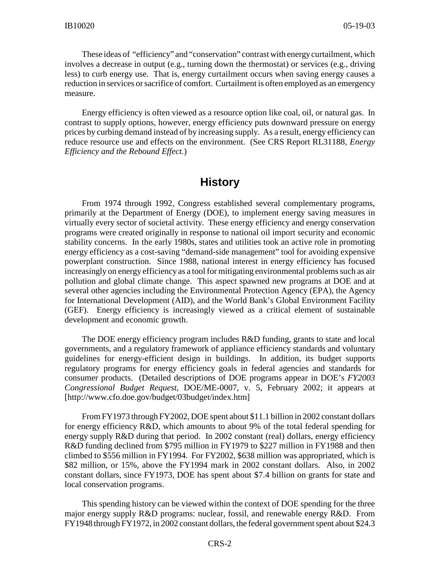These ideas of "efficiency" and "conservation" contrast with energy curtailment, which involves a decrease in output (e.g., turning down the thermostat) or services (e.g., driving less) to curb energy use. That is, energy curtailment occurs when saving energy causes a reduction in services or sacrifice of comfort. Curtailment is often employed as an emergency measure.

Energy efficiency is often viewed as a resource option like coal, oil, or natural gas. In contrast to supply options, however, energy efficiency puts downward pressure on energy prices by curbing demand instead of by increasing supply. As a result, energy efficiency can reduce resource use and effects on the environment. (See CRS Report RL31188, *Energy Efficiency and the Rebound Effect.*)

#### **History**

From 1974 through 1992, Congress established several complementary programs, primarily at the Department of Energy (DOE), to implement energy saving measures in virtually every sector of societal activity. These energy efficiency and energy conservation programs were created originally in response to national oil import security and economic stability concerns. In the early 1980s, states and utilities took an active role in promoting energy efficiency as a cost-saving "demand-side management" tool for avoiding expensive powerplant construction. Since 1988, national interest in energy efficiency has focused increasingly on energy efficiency as a tool for mitigating environmental problems such as air pollution and global climate change. This aspect spawned new programs at DOE and at several other agencies including the Environmental Protection Agency (EPA), the Agency for International Development (AID), and the World Bank's Global Environment Facility (GEF). Energy efficiency is increasingly viewed as a critical element of sustainable development and economic growth.

The DOE energy efficiency program includes R&D funding, grants to state and local governments, and a regulatory framework of appliance efficiency standards and voluntary guidelines for energy-efficient design in buildings. In addition, its budget supports regulatory programs for energy efficiency goals in federal agencies and standards for consumer products. (Detailed descriptions of DOE programs appear in DOE's *FY2003 Congressional Budget Request*, DOE/ME-0007, v. 5, February 2002; it appears at [http://www.cfo.doe.gov/budget/03budget/index.htm]

From FY1973 through FY2002, DOE spent about \$11.1 billion in 2002 constant dollars for energy efficiency R&D, which amounts to about 9% of the total federal spending for energy supply R&D during that period. In 2002 constant (real) dollars, energy efficiency R&D funding declined from \$795 million in FY1979 to \$227 million in FY1988 and then climbed to \$556 million in FY1994. For FY2002, \$638 million was appropriated, which is \$82 million, or 15%, above the FY1994 mark in 2002 constant dollars. Also, in 2002 constant dollars, since FY1973, DOE has spent about \$7.4 billion on grants for state and local conservation programs.

This spending history can be viewed within the context of DOE spending for the three major energy supply R&D programs: nuclear, fossil, and renewable energy R&D. From FY1948 through FY1972, in 2002 constant dollars, the federal government spent about \$24.3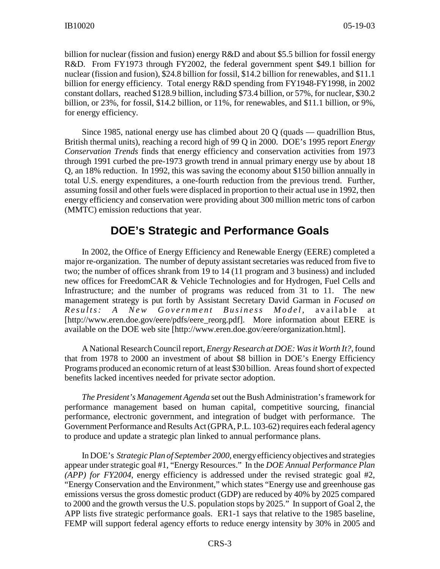billion for nuclear (fission and fusion) energy R&D and about \$5.5 billion for fossil energy R&D. From FY1973 through FY2002, the federal government spent \$49.1 billion for nuclear (fission and fusion), \$24.8 billion for fossil, \$14.2 billion for renewables, and \$11.1 billion for energy efficiency. Total energy R&D spending from FY1948-FY1998, in 2002 constant dollars, reached \$128.9 billion, including \$73.4 billion, or 57%, for nuclear, \$30.2 billion, or 23%, for fossil, \$14.2 billion, or 11%, for renewables, and \$11.1 billion, or 9%, for energy efficiency.

Since 1985, national energy use has climbed about 20 Q (quads — quadrillion Btus, British thermal units), reaching a record high of 99 Q in 2000. DOE's 1995 report *Energy Conservation Trends* finds that energy efficiency and conservation activities from 1973 through 1991 curbed the pre-1973 growth trend in annual primary energy use by about 18 Q, an 18% reduction. In 1992, this was saving the economy about \$150 billion annually in total U.S. energy expenditures, a one-fourth reduction from the previous trend. Further, assuming fossil and other fuels were displaced in proportion to their actual use in 1992, then energy efficiency and conservation were providing about 300 million metric tons of carbon (MMTC) emission reductions that year.

## **DOE's Strategic and Performance Goals**

In 2002, the Office of Energy Efficiency and Renewable Energy (EERE) completed a major re-organization. The number of deputy assistant secretaries was reduced from five to two; the number of offices shrank from 19 to 14 (11 program and 3 business) and included new offices for FreedomCAR & Vehicle Technologies and for Hydrogen, Fuel Cells and Infrastructure; and the number of programs was reduced from 31 to 11. The new management strategy is put forth by Assistant Secretary David Garman in *Focused on Results: A New Government Business Model* , available at [http://www.eren.doe.gov/eere/pdfs/eere\_reorg.pdf]. More information about EERE is available on the DOE web site [http://www.eren.doe.gov/eere/organization.html].

A National Research Council report, *Energy Research at DOE: Was it Worth It?,* found that from 1978 to 2000 an investment of about \$8 billion in DOE's Energy Efficiency Programs produced an economic return of at least \$30 billion. Areas found short of expected benefits lacked incentives needed for private sector adoption.

*The President's Management Agenda* set out the Bush Administration's framework for performance management based on human capital, competitive sourcing, financial performance, electronic government, and integration of budget with performance. The Government Performance and Results Act (GPRA, P.L. 103-62) requires each federal agency to produce and update a strategic plan linked to annual performance plans.

In DOE's *Strategic Plan of September 2000*, energy efficiency objectives and strategies appear under strategic goal #1, "Energy Resources." In the *DOE Annual Performance Plan (APP) for FY2004*, energy efficiency is addressed under the revised strategic goal #2, "Energy Conservation and the Environment," which states "Energy use and greenhouse gas emissions versus the gross domestic product (GDP) are reduced by 40% by 2025 compared to 2000 and the growth versus the U.S. population stops by 2025." In support of Goal 2, the APP lists five strategic performance goals. ER1-1 says that relative to the 1985 baseline, FEMP will support federal agency efforts to reduce energy intensity by 30% in 2005 and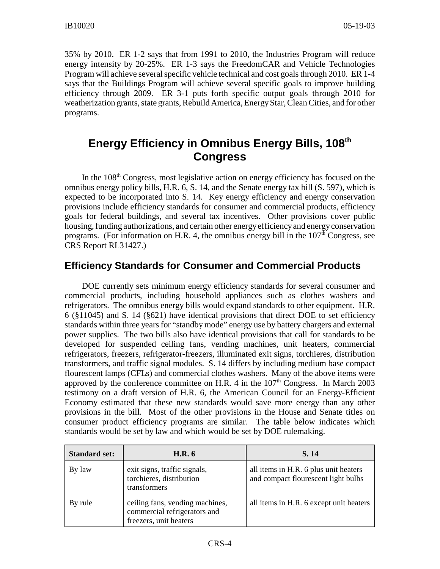35% by 2010. ER 1-2 says that from 1991 to 2010, the Industries Program will reduce energy intensity by 20-25%. ER 1-3 says the FreedomCAR and Vehicle Technologies Program will achieve several specific vehicle technical and cost goals through 2010. ER 1-4 says that the Buildings Program will achieve several specific goals to improve building efficiency through 2009. ER 3-1 puts forth specific output goals through 2010 for weatherization grants, state grants, Rebuild America, Energy Star, Clean Cities, and for other programs.

## **Energy Efficiency in Omnibus Energy Bills, 108th Congress**

In the  $108<sup>th</sup>$  Congress, most legislative action on energy efficiency has focused on the omnibus energy policy bills, H.R. 6, S. 14, and the Senate energy tax bill (S. 597), which is expected to be incorporated into S. 14. Key energy efficiency and energy conservation provisions include efficiency standards for consumer and commercial products, efficiency goals for federal buildings, and several tax incentives. Other provisions cover public housing, funding authorizations, and certain other energy efficiency and energy conservation programs. (For information on H.R. 4, the omnibus energy bill in the  $107<sup>th</sup>$  Congress, see CRS Report RL31427.)

## **Efficiency Standards for Consumer and Commercial Products**

DOE currently sets minimum energy efficiency standards for several consumer and commercial products, including household appliances such as clothes washers and refrigerators. The omnibus energy bills would expand standards to other equipment. H.R. 6 (§11045) and S. 14 (§621) have identical provisions that direct DOE to set efficiency standards within three years for "standby mode" energy use by battery chargers and external power supplies. The two bills also have identical provisions that call for standards to be developed for suspended ceiling fans, vending machines, unit heaters, commercial refrigerators, freezers, refrigerator-freezers, illuminated exit signs, torchieres, distribution transformers, and traffic signal modules. S. 14 differs by including medium base compact flourescent lamps (CFLs) and commercial clothes washers. Many of the above items were approved by the conference committee on H.R. 4 in the  $107<sup>th</sup>$  Congress. In March 2003 testimony on a draft version of H.R. 6, the American Council for an Energy-Efficient Economy estimated that these new standards would save more energy than any other provisions in the bill. Most of the other provisions in the House and Senate titles on consumer product efficiency programs are similar. The table below indicates which standards would be set by law and which would be set by DOE rulemaking.

| <b>Standard set:</b> | <b>H.R.</b> 6                                                                             | S. 14                                                                        |  |  |
|----------------------|-------------------------------------------------------------------------------------------|------------------------------------------------------------------------------|--|--|
| By law               | exit signs, traffic signals,<br>torchieres, distribution<br>transformers                  | all items in H.R. 6 plus unit heaters<br>and compact flourescent light bulbs |  |  |
| By rule              | ceiling fans, vending machines,<br>commercial refrigerators and<br>freezers, unit heaters | all items in H.R. 6 except unit heaters                                      |  |  |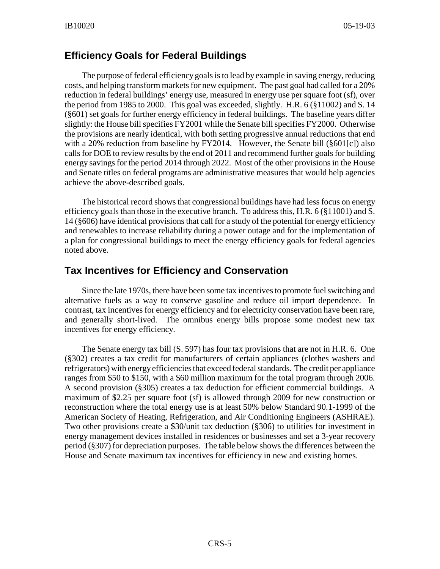#### **Efficiency Goals for Federal Buildings**

The purpose of federal efficiency goals is to lead by example in saving energy, reducing costs, and helping transform markets for new equipment. The past goal had called for a 20% reduction in federal buildings' energy use, measured in energy use per square foot (sf), over the period from 1985 to 2000. This goal was exceeded, slightly. H.R.  $6 \times 11002$  and S. 14 (§601) set goals for further energy efficiency in federal buildings. The baseline years differ slightly: the House bill specifies FY2001 while the Senate bill specifies FY2000. Otherwise the provisions are nearly identical, with both setting progressive annual reductions that end with a 20% reduction from baseline by FY2014. However, the Senate bill (§601[c]) also calls for DOE to review results by the end of 2011 and recommend further goals for building energy savings for the period 2014 through 2022. Most of the other provisions in the House and Senate titles on federal programs are administrative measures that would help agencies achieve the above-described goals.

The historical record shows that congressional buildings have had less focus on energy efficiency goals than those in the executive branch. To address this, H.R.  $6$  ( $\S$ 11001) and S. 14 (§606) have identical provisions that call for a study of the potential for energy efficiency and renewables to increase reliability during a power outage and for the implementation of a plan for congressional buildings to meet the energy efficiency goals for federal agencies noted above.

#### **Tax Incentives for Efficiency and Conservation**

Since the late 1970s, there have been some tax incentives to promote fuel switching and alternative fuels as a way to conserve gasoline and reduce oil import dependence. In contrast, tax incentives for energy efficiency and for electricity conservation have been rare, and generally short-lived. The omnibus energy bills propose some modest new tax incentives for energy efficiency.

The Senate energy tax bill (S. 597) has four tax provisions that are not in H.R. 6. One (§302) creates a tax credit for manufacturers of certain appliances (clothes washers and refrigerators) with energy efficiencies that exceed federal standards. The credit per appliance ranges from \$50 to \$150, with a \$60 million maximum for the total program through 2006. A second provision (§305) creates a tax deduction for efficient commercial buildings. A maximum of \$2.25 per square foot (sf) is allowed through 2009 for new construction or reconstruction where the total energy use is at least 50% below Standard 90.1-1999 of the American Society of Heating, Refrigeration, and Air Conditioning Engineers (ASHRAE). Two other provisions create a \$30/unit tax deduction (§306) to utilities for investment in energy management devices installed in residences or businesses and set a 3-year recovery period (§307) for depreciation purposes. The table below shows the differences between the House and Senate maximum tax incentives for efficiency in new and existing homes.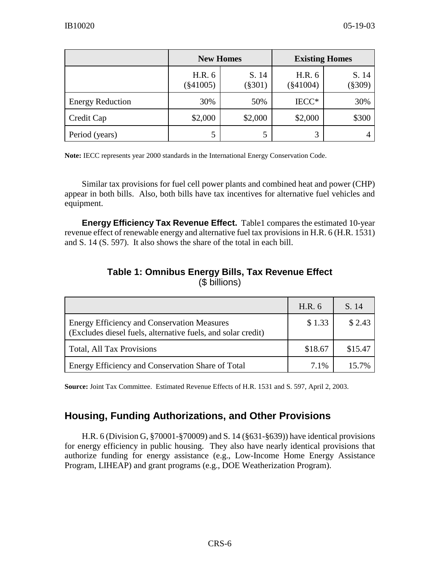|                         |                       | <b>New Homes</b>   | <b>Existing Homes</b> |                    |  |
|-------------------------|-----------------------|--------------------|-----------------------|--------------------|--|
|                         | H.R. 6<br>$(\$41005)$ | S. 14<br>$(\$301)$ | H.R. 6<br>$(\$41004)$ | S. 14<br>$(\$309)$ |  |
| <b>Energy Reduction</b> | 30%                   | 50%                | IECC*                 | 30%                |  |
| Credit Cap              | \$2,000               | \$2,000            | \$2,000               | \$300              |  |
| Period (years)          | 5                     | 5                  | 3                     |                    |  |

**Note:** IECC represents year 2000 standards in the International Energy Conservation Code.

Similar tax provisions for fuel cell power plants and combined heat and power (CHP) appear in both bills. Also, both bills have tax incentives for alternative fuel vehicles and equipment.

**Energy Efficiency Tax Revenue Effect.** Table1 compares the estimated 10-year revenue effect of renewable energy and alternative fuel tax provisions in H.R. 6 (H.R. 1531) and S. 14 (S. 597). It also shows the share of the total in each bill.

|                                                                                                                    | H.R. 6  | S. 14   |
|--------------------------------------------------------------------------------------------------------------------|---------|---------|
| <b>Energy Efficiency and Conservation Measures</b><br>(Excludes diesel fuels, alternative fuels, and solar credit) | \$1.33  | \$2.43  |
| <b>Total, All Tax Provisions</b>                                                                                   | \$18.67 | \$15.47 |
| Energy Efficiency and Conservation Share of Total                                                                  | $7.1\%$ | 15.7%   |

#### **Table 1: Omnibus Energy Bills, Tax Revenue Effect** (\$ billions)

**Source:** Joint Tax Committee. Estimated Revenue Effects of H.R. 1531 and S. 597, April 2, 2003.

## **Housing, Funding Authorizations, and Other Provisions**

H.R. 6 (Division G, §70001-§70009) and S. 14 (§631-§639)) have identical provisions for energy efficiency in public housing. They also have nearly identical provisions that authorize funding for energy assistance (e.g., Low-Income Home Energy Assistance Program, LIHEAP) and grant programs (e.g., DOE Weatherization Program).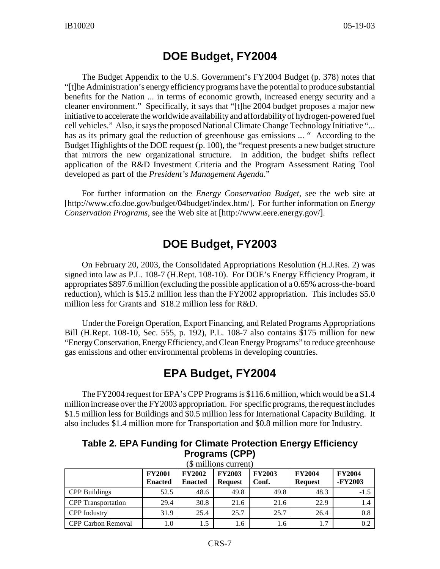## **DOE Budget, FY2004**

The Budget Appendix to the U.S. Government's FY2004 Budget (p. 378) notes that "[t]he Administration's energy efficiency programs have the potential to produce substantial benefits for the Nation ... in terms of economic growth, increased energy security and a cleaner environment." Specifically, it says that "[t]he 2004 budget proposes a major new initiative to accelerate the worldwide availability and affordability of hydrogen-powered fuel cell vehicles." Also, it says the proposed National Climate Change Technology Initiative "... has as its primary goal the reduction of greenhouse gas emissions ... " According to the Budget Highlights of the DOE request (p. 100), the "request presents a new budget structure that mirrors the new organizational structure. In addition, the budget shifts reflect application of the R&D Investment Criteria and the Program Assessment Rating Tool developed as part of the *President's Management Agenda*."

For further information on the *Energy Conservation Budget*, see the web site at [http://www.cfo.doe.gov/budget/04budget/index.htm/]. For further information on *Energy Conservation Programs*, see the Web site at [http://www.eere.energy.gov/].

## **DOE Budget, FY2003**

On February 20, 2003, the Consolidated Appropriations Resolution (H.J.Res. 2) was signed into law as P.L. 108-7 (H.Rept. 108-10). For DOE's Energy Efficiency Program, it appropriates \$897.6 million (excluding the possible application of a 0.65% across-the-board reduction), which is \$15.2 million less than the FY2002 appropriation. This includes \$5.0 million less for Grants and \$18.2 million less for R&D.

Under the Foreign Operation, Export Financing, and Related Programs Appropriations Bill (H.Rept. 108-10, Sec. 555, p. 192), P.L. 108-7 also contains \$175 million for new "Energy Conservation, Energy Efficiency, and Clean Energy Programs" to reduce greenhouse gas emissions and other environmental problems in developing countries.

# **EPA Budget, FY2004**

The FY2004 request for EPA's CPP Programs is \$116.6 million, which would be a \$1.4 million increase over the FY2003 appropriation. For specific programs, the request includes \$1.5 million less for Buildings and \$0.5 million less for International Capacity Building. It also includes \$1.4 million more for Transportation and \$0.8 million more for Industry.

| Table 2. EPA Funding for Climate Protection Energy Efficiency                                                                                                                                                                  |
|--------------------------------------------------------------------------------------------------------------------------------------------------------------------------------------------------------------------------------|
| <b>Programs (CPP)</b>                                                                                                                                                                                                          |
| $(0.000, 11.000, 11.000, 11.000, 11.000, 11.000, 11.000, 11.000, 11.000, 11.000, 11.000, 11.000, 11.000, 11.000, 11.000, 11.000, 11.000, 11.000, 11.000, 11.000, 11.000, 11.000, 11.000, 11.000, 11.000, 11.000, 11.000, 11.0$ |

|                           | <b>FY2001</b><br><b>Enacted</b> | <b>FY2002</b><br><b>Enacted</b> | <b>FY2003</b><br><b>Request</b> | <b>FY2003</b><br>Conf. | <b>FY2004</b><br><b>Request</b> | <b>FY2004</b><br>-FY2003 |
|---------------------------|---------------------------------|---------------------------------|---------------------------------|------------------------|---------------------------------|--------------------------|
| <b>CPP Buildings</b>      | 52.5                            | 48.6                            | 49.8                            | 49.8                   | 48.3                            | $-1.5$                   |
| <b>CPP</b> Transportation | 29.4                            | 30.8                            | 21.6                            | 21.6                   | 22.9                            | 1.4                      |
| <b>CPP</b> Industry       | 31.9                            | 25.4                            | 25.7                            | 25.7                   | 26.4                            | 0.8                      |
| <b>CPP Carbon Removal</b> | 0.1                             | 1.5                             | 1.6                             | 1.6                    | 1.7                             | 0.2                      |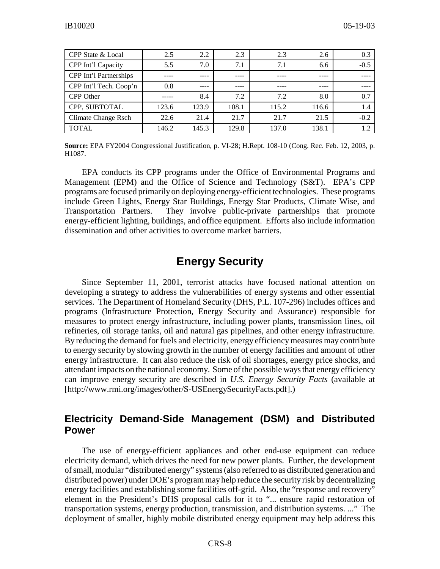| CPP State & Local      | 2.5   | 2.2   | 2.3   | 2.3   | 2.6   | 0.3    |
|------------------------|-------|-------|-------|-------|-------|--------|
| CPP Int'l Capacity     | 5.5   | 7.0   | 7.1   | 7.1   | 6.6   | $-0.5$ |
| CPP Int'l Partnerships |       |       |       | ----  |       |        |
| CPP Int'l Tech. Coop'n | 0.8   |       |       |       |       |        |
| CPP Other              |       | 8.4   | 7.2   | 7.2   | 8.0   | 0.7    |
| CPP, SUBTOTAL          | 123.6 | 123.9 | 108.1 | 115.2 | 116.6 | 1.4    |
| Climate Change Rsch    | 22.6  | 21.4  | 21.7  | 21.7  | 21.5  | $-0.2$ |
| <b>TOTAL</b>           | 146.2 | 145.3 | 129.8 | 137.0 | 138.1 |        |

**Source:** EPA FY2004 Congressional Justification, p. VI-28; H.Rept. 108-10 (Cong. Rec. Feb. 12, 2003, p. H1087.

EPA conducts its CPP programs under the Office of Environmental Programs and Management (EPM) and the Office of Science and Technology (S&T). EPA's CPP programs are focused primarily on deploying energy-efficient technologies. These programs include Green Lights, Energy Star Buildings, Energy Star Products, Climate Wise, and Transportation Partners. They involve public-private partnerships that promote energy-efficient lighting, buildings, and office equipment. Efforts also include information dissemination and other activities to overcome market barriers.

## **Energy Security**

Since September 11, 2001, terrorist attacks have focused national attention on developing a strategy to address the vulnerabilities of energy systems and other essential services. The Department of Homeland Security (DHS, P.L. 107-296) includes offices and programs (Infrastructure Protection, Energy Security and Assurance) responsible for measures to protect energy infrastructure, including power plants, transmission lines, oil refineries, oil storage tanks, oil and natural gas pipelines, and other energy infrastructure. By reducing the demand for fuels and electricity, energy efficiency measures may contribute to energy security by slowing growth in the number of energy facilities and amount of other energy infrastructure. It can also reduce the risk of oil shortages, energy price shocks, and attendant impacts on the national economy. Some of the possible ways that energy efficiency can improve energy security are described in *U.S. Energy Security Facts* (available at [http://www.rmi.org/images/other/S-USEnergySecurityFacts.pdf].)

#### **Electricity Demand-Side Management (DSM) and Distributed Power**

The use of energy-efficient appliances and other end-use equipment can reduce electricity demand, which drives the need for new power plants. Further, the development of small, modular "distributed energy" systems (also referred to as distributed generation and distributed power) under DOE's program may help reduce the security risk by decentralizing energy facilities and establishing some facilities off-grid. Also, the "response and recovery" element in the President's DHS proposal calls for it to "... ensure rapid restoration of transportation systems, energy production, transmission, and distribution systems. ..." The deployment of smaller, highly mobile distributed energy equipment may help address this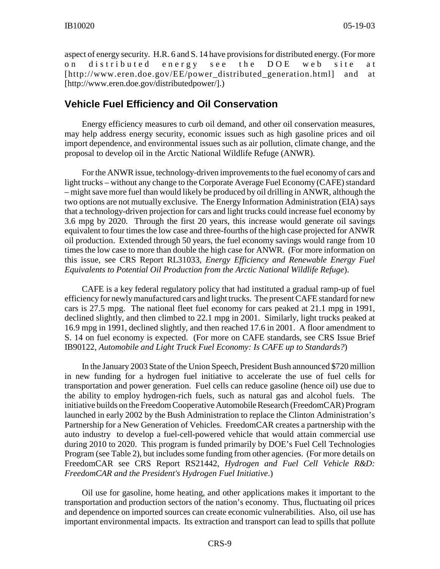aspect of energy security. H.R. 6 and S. 14 have provisions for distributed energy. (For more on distributed energy see the DOE web site at [http://www.eren.doe.gov/EE/power\_distributed\_generation.html] and at [http://www.eren.doe.gov/distributedpower/].)

#### **Vehicle Fuel Efficiency and Oil Conservation**

Energy efficiency measures to curb oil demand, and other oil conservation measures, may help address energy security, economic issues such as high gasoline prices and oil import dependence, and environmental issues such as air pollution, climate change, and the proposal to develop oil in the Arctic National Wildlife Refuge (ANWR).

For the ANWR issue, technology-driven improvements to the fuel economy of cars and light trucks – without any change to the Corporate Average Fuel Economy (CAFE) standard – might save more fuel than would likely be produced by oil drilling in ANWR, although the two options are not mutually exclusive. The Energy Information Administration (EIA) says that a technology-driven projection for cars and light trucks could increase fuel economy by 3.6 mpg by 2020. Through the first 20 years, this increase would generate oil savings equivalent to four times the low case and three-fourths of the high case projected for ANWR oil production. Extended through 50 years, the fuel economy savings would range from 10 times the low case to more than double the high case for ANWR. (For more information on this issue, see CRS Report RL31033, *Energy Efficiency and Renewable Energy Fuel Equivalents to Potential Oil Production from the Arctic National Wildlife Refuge*).

CAFE is a key federal regulatory policy that had instituted a gradual ramp-up of fuel efficiency for newly manufactured cars and light trucks. The present CAFE standard for new cars is 27.5 mpg. The national fleet fuel economy for cars peaked at 21.1 mpg in 1991, declined slightly, and then climbed to 22.1 mpg in 2001. Similarly, light trucks peaked at 16.9 mpg in 1991, declined slightly, and then reached 17.6 in 2001. A floor amendment to S. 14 on fuel economy is expected. (For more on CAFE standards, see CRS Issue Brief IB90122, *Automobile and Light Truck Fuel Economy: Is CAFE up to Standards?*)

In the January 2003 State of the Union Speech, President Bush announced \$720 million in new funding for a hydrogen fuel initiative to accelerate the use of fuel cells for transportation and power generation. Fuel cells can reduce gasoline (hence oil) use due to the ability to employ hydrogen-rich fuels, such as natural gas and alcohol fuels. The initiative builds on the Freedom Cooperative Automobile Research (FreedomCAR) Program launched in early 2002 by the Bush Administration to replace the Clinton Administration's Partnership for a New Generation of Vehicles. FreedomCAR creates a partnership with the auto industry to develop a fuel-cell-powered vehicle that would attain commercial use during 2010 to 2020. This program is funded primarily by DOE's Fuel Cell Technologies Program (see Table 2), but includes some funding from other agencies. (For more details on FreedomCAR see CRS Report RS21442, *Hydrogen and Fuel Cell Vehicle R&D: FreedomCAR and the President's Hydrogen Fuel Initiative*.)

Oil use for gasoline, home heating, and other applications makes it important to the transportation and production sectors of the nation's economy. Thus, fluctuating oil prices and dependence on imported sources can create economic vulnerabilities. Also, oil use has important environmental impacts. Its extraction and transport can lead to spills that pollute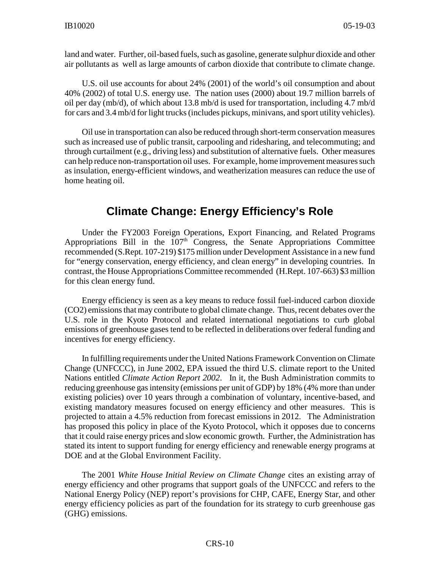land and water. Further, oil-based fuels, such as gasoline, generate sulphur dioxide and other air pollutants as well as large amounts of carbon dioxide that contribute to climate change.

U.S. oil use accounts for about 24% (2001) of the world's oil consumption and about 40% (2002) of total U.S. energy use. The nation uses (2000) about 19.7 million barrels of oil per day (mb/d), of which about 13.8 mb/d is used for transportation, including 4.7 mb/d for cars and 3.4 mb/d for light trucks (includes pickups, minivans, and sport utility vehicles).

Oil use in transportation can also be reduced through short-term conservation measures such as increased use of public transit, carpooling and ridesharing, and telecommuting; and through curtailment (e.g., driving less) and substitution of alternative fuels. Other measures can help reduce non-transportation oil uses. For example, home improvement measures such as insulation, energy-efficient windows, and weatherization measures can reduce the use of home heating oil.

## **Climate Change: Energy Efficiency's Role**

Under the FY2003 Foreign Operations, Export Financing, and Related Programs Appropriations Bill in the 107<sup>th</sup> Congress, the Senate Appropriations Committee recommended (S.Rept. 107-219) \$175 million under Development Assistance in a new fund for "energy conservation, energy efficiency, and clean energy" in developing countries. In contrast, the House Appropriations Committee recommended (H.Rept. 107-663) \$3 million for this clean energy fund.

Energy efficiency is seen as a key means to reduce fossil fuel-induced carbon dioxide (CO2) emissions that may contribute to global climate change. Thus, recent debates over the U.S. role in the Kyoto Protocol and related international negotiations to curb global emissions of greenhouse gases tend to be reflected in deliberations over federal funding and incentives for energy efficiency.

In fulfilling requirements under the United Nations Framework Convention on Climate Change (UNFCCC), in June 2002, EPA issued the third U.S. climate report to the United Nations entitled *Climate Action Report 2002*. In it, the Bush Administration commits to reducing greenhouse gas intensity (emissions per unit of GDP) by 18% (4% more than under existing policies) over 10 years through a combination of voluntary, incentive-based, and existing mandatory measures focused on energy efficiency and other measures. This is projected to attain a 4.5% reduction from forecast emissions in 2012. The Administration has proposed this policy in place of the Kyoto Protocol, which it opposes due to concerns that it could raise energy prices and slow economic growth. Further, the Administration has stated its intent to support funding for energy efficiency and renewable energy programs at DOE and at the Global Environment Facility.

The 2001 *White House Initial Review on Climate Change* cites an existing array of energy efficiency and other programs that support goals of the UNFCCC and refers to the National Energy Policy (NEP) report's provisions for CHP, CAFE, Energy Star, and other energy efficiency policies as part of the foundation for its strategy to curb greenhouse gas (GHG) emissions.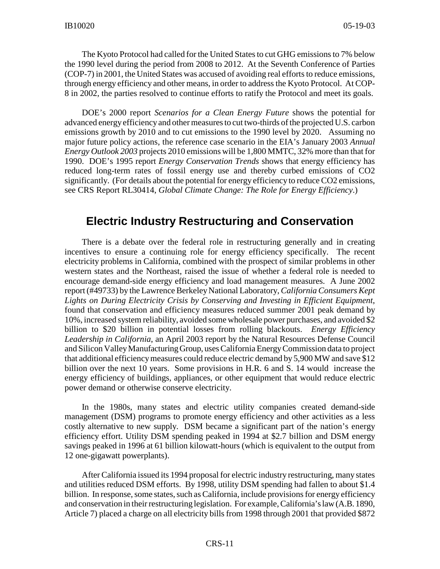The Kyoto Protocol had called for the United States to cut GHG emissions to 7% below the 1990 level during the period from 2008 to 2012. At the Seventh Conference of Parties (COP-7) in 2001, the United States was accused of avoiding real efforts to reduce emissions, through energy efficiency and other means, in order to address the Kyoto Protocol. At COP-8 in 2002, the parties resolved to continue efforts to ratify the Protocol and meet its goals.

DOE's 2000 report *Scenarios for a Clean Energy Future* shows the potential for advanced energy efficiency and other measures to cut two-thirds of the projected U.S. carbon emissions growth by 2010 and to cut emissions to the 1990 level by 2020. Assuming no major future policy actions, the reference case scenario in the EIA's January 2003 *Annual Energy Outlook 2003* projects 2010 emissions will be 1,800 MMTC, 32% more than that for 1990. DOE's 1995 report *Energy Conservation Trends* shows that energy efficiency has reduced long-term rates of fossil energy use and thereby curbed emissions of CO2 significantly. (For details about the potential for energy efficiency to reduce CO2 emissions, see CRS Report RL30414, *Global Climate Change: The Role for Energy Efficiency*.)

#### **Electric Industry Restructuring and Conservation**

There is a debate over the federal role in restructuring generally and in creating incentives to ensure a continuing role for energy efficiency specifically. The recent electricity problems in California, combined with the prospect of similar problems in other western states and the Northeast, raised the issue of whether a federal role is needed to encourage demand-side energy efficiency and load management measures. A June 2002 report (#49733) by the Lawrence Berkeley National Laboratory, *California Consumers Kept Lights on During Electricity Crisis by Conserving and Investing in Efficient Equipment*, found that conservation and efficiency measures reduced summer 2001 peak demand by 10%, increased system reliability, avoided some wholesale power purchases, and avoided \$2 billion to \$20 billion in potential losses from rolling blackouts. *Energy Efficiency Leadership in California*, an April 2003 report by the Natural Resources Defense Council and Silicon Valley Manufacturing Group, uses California Energy Commission data to project that additional efficiency measures could reduce electric demand by 5,900 MW and save \$12 billion over the next 10 years. Some provisions in H.R. 6 and S. 14 would increase the energy efficiency of buildings, appliances, or other equipment that would reduce electric power demand or otherwise conserve electricity.

In the 1980s, many states and electric utility companies created demand-side management (DSM) programs to promote energy efficiency and other activities as a less costly alternative to new supply. DSM became a significant part of the nation's energy efficiency effort. Utility DSM spending peaked in 1994 at \$2.7 billion and DSM energy savings peaked in 1996 at 61 billion kilowatt-hours (which is equivalent to the output from 12 one-gigawatt powerplants).

After California issued its 1994 proposal for electric industry restructuring, many states and utilities reduced DSM efforts. By 1998, utility DSM spending had fallen to about \$1.4 billion. In response, some states, such as California, include provisions for energy efficiency and conservation in their restructuring legislation. For example, California's law (A.B. 1890, Article 7) placed a charge on all electricity bills from 1998 through 2001 that provided \$872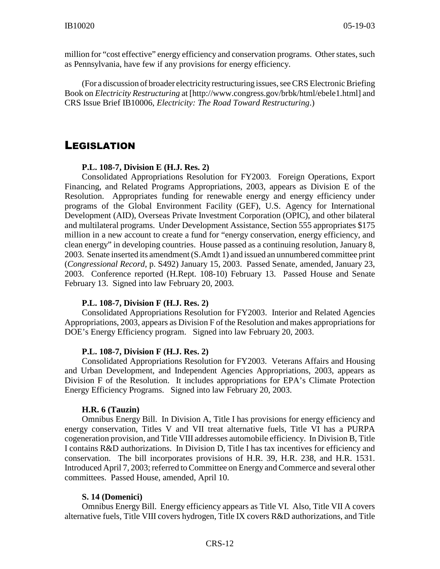million for "cost effective" energy efficiency and conservation programs. Other states, such as Pennsylvania, have few if any provisions for energy efficiency.

(For a discussion of broader electricity restructuring issues, see CRS Electronic Briefing Book on *Electricity Restructuring* at [http://www.congress.gov/brbk/html/ebele1.html] and CRS Issue Brief IB10006, *Electricity: The Road Toward Restructuring*.)

#### LEGISLATION

**P.L. 108-7, Division E (H.J. Res. 2)**

Consolidated Appropriations Resolution for FY2003. Foreign Operations, Export Financing, and Related Programs Appropriations, 2003, appears as Division E of the Resolution. Appropriates funding for renewable energy and energy efficiency under programs of the Global Environment Facility (GEF), U.S. Agency for International Development (AID), Overseas Private Investment Corporation (OPIC), and other bilateral and multilateral programs. Under Development Assistance, Section 555 appropriates \$175 million in a new account to create a fund for "energy conservation, energy efficiency, and clean energy" in developing countries. House passed as a continuing resolution, January 8, 2003. Senate inserted its amendment (S.Amdt 1) and issued an unnumbered committee print (*Congressional Record*, p. S492) January 15, 2003. Passed Senate, amended, January 23, 2003. Conference reported (H.Rept. 108-10) February 13. Passed House and Senate February 13. Signed into law February 20, 2003.

#### **P.L. 108-7, Division F (H.J. Res. 2)**

Consolidated Appropriations Resolution for FY2003. Interior and Related Agencies Appropriations, 2003, appears as Division F of the Resolution and makes appropriations for DOE's Energy Efficiency program. Signed into law February 20, 2003.

#### **P.L. 108-7, Division F (H.J. Res. 2)**

Consolidated Appropriations Resolution for FY2003. Veterans Affairs and Housing and Urban Development, and Independent Agencies Appropriations, 2003, appears as Division F of the Resolution. It includes appropriations for EPA's Climate Protection Energy Efficiency Programs. Signed into law February 20, 2003.

#### **H.R. 6 (Tauzin)**

Omnibus Energy Bill. In Division A, Title I has provisions for energy efficiency and energy conservation, Titles V and VII treat alternative fuels, Title VI has a PURPA cogeneration provision, and Title VIII addresses automobile efficiency. In Division B, Title I contains R&D authorizations. In Division D, Title I has tax incentives for efficiency and conservation. The bill incorporates provisions of H.R. 39, H.R. 238, and H.R. 1531. Introduced April 7, 2003; referred to Committee on Energy and Commerce and several other committees. Passed House, amended, April 10.

#### **S. 14 (Domenici)**

Omnibus Energy Bill. Energy efficiency appears as Title VI. Also, Title VII A covers alternative fuels, Title VIII covers hydrogen, Title IX covers R&D authorizations, and Title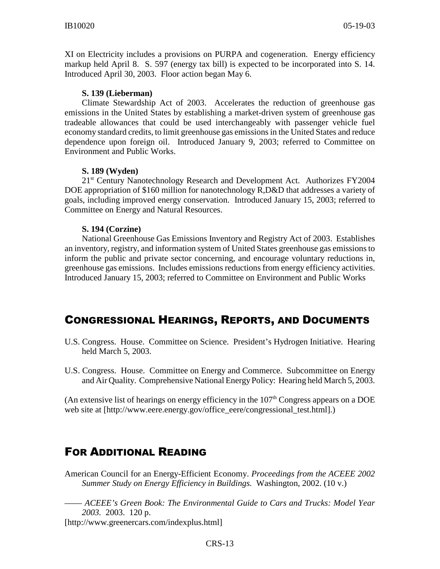XI on Electricity includes a provisions on PURPA and cogeneration. Energy efficiency markup held April 8. S. 597 (energy tax bill) is expected to be incorporated into S. 14. Introduced April 30, 2003. Floor action began May 6.

#### **S. 139 (Lieberman)**

Climate Stewardship Act of 2003. Accelerates the reduction of greenhouse gas emissions in the United States by establishing a market-driven system of greenhouse gas tradeable allowances that could be used interchangeably with passenger vehicle fuel economy standard credits, to limit greenhouse gas emissions in the United States and reduce dependence upon foreign oil. Introduced January 9, 2003; referred to Committee on Environment and Public Works.

#### **S. 189 (Wyden)**

21<sup>st</sup> Century Nanotechnology Research and Development Act. Authorizes FY2004 DOE appropriation of \$160 million for nanotechnology R,D&D that addresses a variety of goals, including improved energy conservation. Introduced January 15, 2003; referred to Committee on Energy and Natural Resources.

#### **S. 194 (Corzine)**

National Greenhouse Gas Emissions Inventory and Registry Act of 2003. Establishes an inventory, registry, and information system of United States greenhouse gas emissions to inform the public and private sector concerning, and encourage voluntary reductions in, greenhouse gas emissions. Includes emissions reductions from energy efficiency activities. Introduced January 15, 2003; referred to Committee on Environment and Public Works

## CONGRESSIONAL HEARINGS, REPORTS, AND DOCUMENTS

- U.S. Congress. House. Committee on Science. President's Hydrogen Initiative. Hearing held March 5, 2003.
- U.S. Congress. House. Committee on Energy and Commerce. Subcommittee on Energy and Air Quality. Comprehensive National Energy Policy: Hearing held March 5, 2003.

(An extensive list of hearings on energy efficiency in the  $107<sup>th</sup>$  Congress appears on a DOE web site at [http://www.eere.energy.gov/office\_eere/congressional\_test.html].)

## FOR ADDITIONAL READING

American Council for an Energy-Efficient Economy. *Proceedings from the ACEEE 2002 Summer Study on Energy Efficiency in Buildings.* Washington, 2002. (10 v.)

—— *ACEEE's Green Book: The Environmental Guide to Cars and Trucks: Model Year 2003.* 2003. 120 p.

[http://www.greenercars.com/indexplus.html]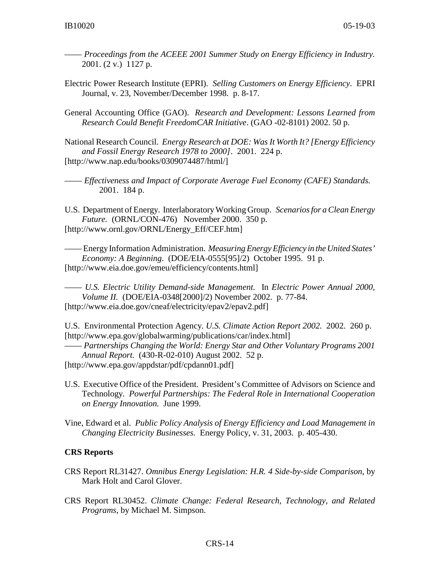- —— *Proceedings from the ACEEE 2001 Summer Study on Energy Efficiency in Industry.* 2001. (2 v.) 1127 p.
- Electric Power Research Institute (EPRI). *Selling Customers on Energy Efficiency*. EPRI Journal, v. 23, November/December 1998. p. 8-17.
- General Accounting Office (GAO). *Research and Development: Lessons Learned from Research Could Benefit FreedomCAR Initiative*. (GAO -02-8101) 2002. 50 p.
- National Research Council. *Energy Research at DOE: Was It Worth It? [Energy Efficiency and Fossil Energy Research 1978 to 2000]*. 2001. 224 p. [http://www.nap.edu/books/0309074487/html/]
- —— *Effectiveness and Impact of Corporate Average Fuel Economy (CAFE) Standards.*  2001. 184 p.
- U.S. Department of Energy. Interlaboratory Working Group. *Scenarios for a Clean Energy Future.* (ORNL/CON-476) November 2000. 350 p. [http://www.ornl.gov/ORNL/Energy\_Eff/CEF.htm]

—— Energy Information Administration. *Measuring Energy Efficiency in the United States' Economy: A Beginning*. (DOE/EIA-0555[95]/2) October 1995. 91 p. [http://www.eia.doe.gov/emeu/efficiency/contents.html]

—— *U.S. Electric Utility Demand-side Management.* In *Electric Power Annual 2000, Volume II.* (DOE/EIA-0348[2000]/2) November 2002. p. 77-84. [http://www.eia.doe.gov/cneaf/electricity/epav2/epav2.pdf]

U.S. Environmental Protection Agency. *U.S. Climate Action Report 2002.* 2002. 260 p. [http://www.epa.gov/globalwarming/publications/car/index.html]

—— *Partnerships Changing the World: Energy Star and Other Voluntary Programs 2001 Annual Report.* (430-R-02-010) August 2002. 52 p.

- [http://www.epa.gov/appdstar/pdf/cpdann01.pdf]
- U.S. Executive Office of the President. President's Committee of Advisors on Science and Technology. *Powerful Partnerships: The Federal Role in International Cooperation on Energy Innovation.* June 1999.
- Vine, Edward et al. *Public Policy Analysis of Energy Efficiency and Load Management in Changing Electricity Businesses.* Energy Policy, v. 31, 2003. p. 405-430.

#### **CRS Reports**

- CRS Report RL31427. *Omnibus Energy Legislation: H.R. 4 Side-by-side Comparison*, by Mark Holt and Carol Glover.
- CRS Report RL30452. *Climate Change: Federal Research, Technology, and Related Programs*, by Michael M. Simpson.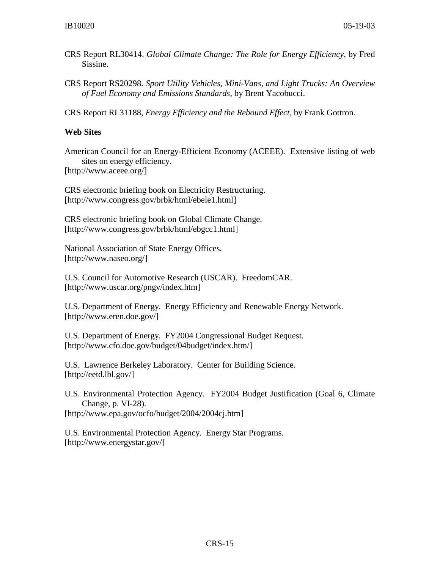- CRS Report RL30414. *Global Climate Change: The Role for Energy Efficiency*, by Fred Sissine.
- CRS Report RS20298. *Sport Utility Vehicles, Mini-Vans, and Light Trucks: An Overview of Fuel Economy and Emissions Standards*, by Brent Yacobucci.

CRS Report RL31188, *Energy Efficiency and the Rebound Effect,* by Frank Gottron.

#### **Web Sites**

American Council for an Energy-Efficient Economy (ACEEE). Extensive listing of web sites on energy efficiency.

[http://www.aceee.org/]

CRS electronic briefing book on Electricity Restructuring. [http://www.congress.gov/brbk/html/ebele1.html]

CRS electronic briefing book on Global Climate Change. [http://www.congress.gov/brbk/html/ebgcc1.html]

National Association of State Energy Offices. [http://www.naseo.org/]

U.S. Council for Automotive Research (USCAR). FreedomCAR. [http://www.uscar.org/pngv/index.htm]

U.S. Department of Energy. Energy Efficiency and Renewable Energy Network. [http://www.eren.doe.gov/]

U.S. Department of Energy. FY2004 Congressional Budget Request. [http://www.cfo.doe.gov/budget/04budget/index.htm/]

U.S. Lawrence Berkeley Laboratory. Center for Building Science. [http://eetd.lbl.gov/]

U.S. Environmental Protection Agency. FY2004 Budget Justification (Goal 6, Climate Change, p. VI-28). [http://www.epa.gov/ocfo/budget/2004/2004cj.htm]

U.S. Environmental Protection Agency. Energy Star Programs. [http://www.energystar.gov/]